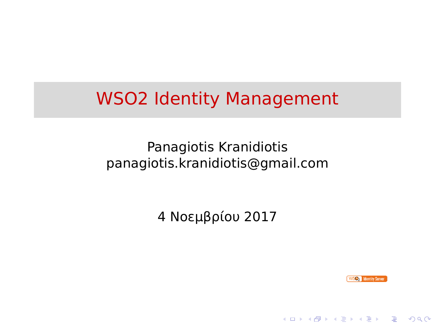# WSO2 Identity Management

Panagiotis Kranidiotis panagiotis.kranidiotis@gmail.com

4 Νοεμβρίου 2017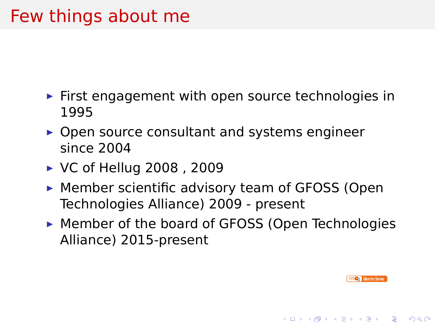## Few things about me

- ▶ First engagement with open source technologies in 1995
- ▶ Open source consultant and systems engineer since 2004
- ▶ VC of Hellug 2008 , 2009
- ▶ Member scientific advisory team of GFOSS (Open Technologies Alliance) 2009 - present
- ▶ Member of the board of GFOSS (Open Technologies Alliance) 2015-present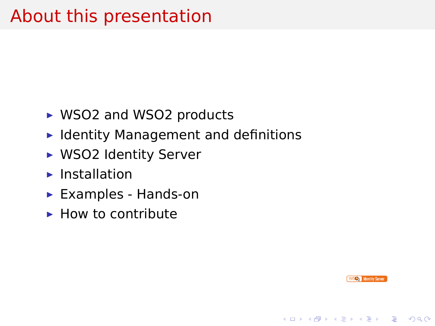## About this presentation

- ▶ WSO2 and WSO2 products
- ▶ Identity Management and definitions
- ▶ WSO2 Identity Server
- ▶ Installation
- ▶ Examples Hands-on
- $\blacktriangleright$  How to contribute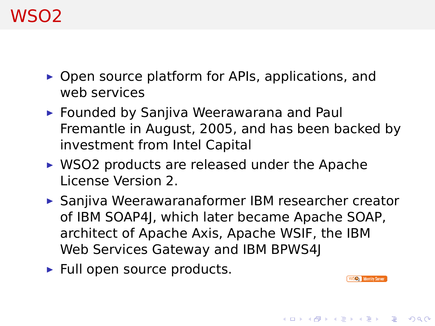### WSO2

- ▶ Open source platform for APIs, applications, and web services
- ▶ Founded by Sanjiva Weerawarana and Paul Fremantle in August, 2005, and has been backed by investment from Intel Capital
- ▶ WSO2 products are released under the Apache License Version 2.
- ▶ Sanjiva Weerawaranaformer IBM researcher creator of IBM SOAP4J, which later became Apache SOAP, architect of Apache Axis, Apache WSIF, the IBM Web Services Gateway and IBM BPWS4J
- ▶ Full open source products.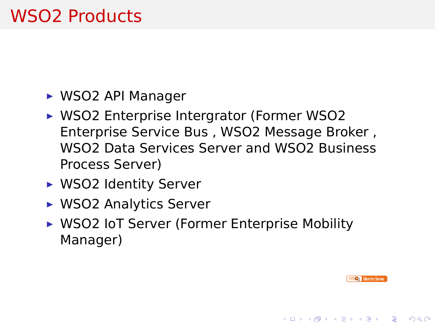## WSO2 Products

- ▶ WSO2 API Manager
- ▶ WSO2 Enterprise Intergrator (Former WSO2 Enterprise Service Bus , WSO2 Message Broker , WSO2 Data Services Server and WSO2 Business Process Server)
- ▶ WSO2 Identity Server
- ▶ WSO2 Analytics Server
- ▶ WSO2 IoT Server (Former Enterprise Mobility Manager)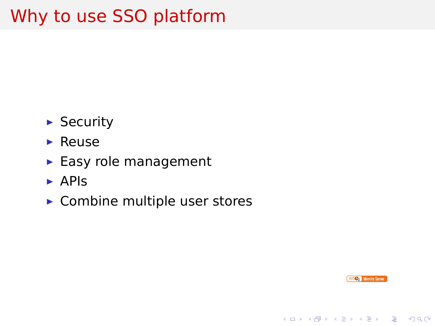## Why to use SSO platform

- ▶ Security
- ▶ Reuse
- ▶ Easy role management
- ▶ APIs
- $\blacktriangleright$  Combine multiple user stores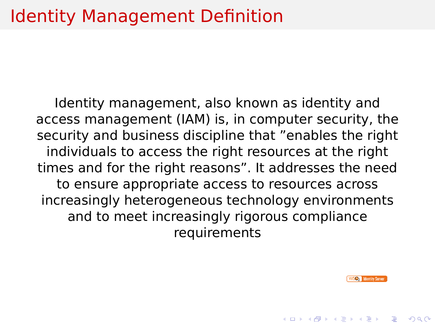### Identity Management Definition

Identity management, also known as identity and access management (IAM) is, in computer security, the security and business discipline that "enables the right individuals to access the right resources at the right times and for the right reasons". It addresses the need to ensure appropriate access to resources across increasingly heterogeneous technology environments and to meet increasingly rigorous compliance requirements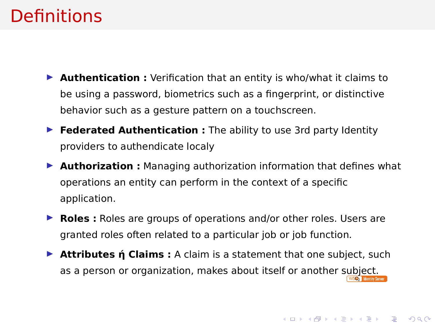### Definitions

- ▶ **Authentication :** Verification that an entity is who/what it claims to be using a password, biometrics such as a fingerprint, or distinctive behavior such as a gesture pattern on a touchscreen.
- ▶ **Federated Authentication :** The ability to use 3rd party Identity providers to authendicate localy
- ▶ **Authorization :** Managing authorization information that defines what operations an entity can perform in the context of a specific application.
- ▶ **Roles :** Roles are groups of operations and/or other roles. Users are granted roles often related to a particular job or job function.
- **Attributes ή Claims :** A claim is a statement that one subject, such as a person or organization, makes about itself or another subject.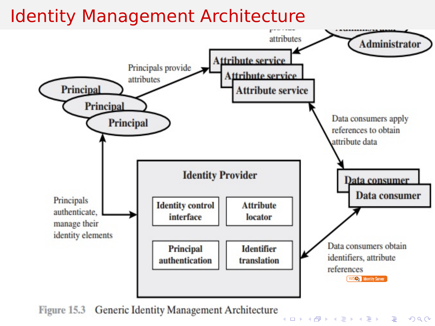

. . . . . . . . . . . . . . . . . . . . . . . . . . . . . . . .  $2Q$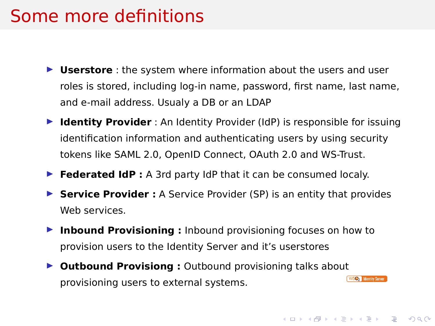#### Some more definitions

- ▶ **Userstore** : the system where information about the users and user roles is stored, including log-in name, password, first name, last name, and e-mail address. Usualy a DB or an LDAP
- ▶ **Identity Provider** : An Identity Provider (IdP) is responsible for issuing identification information and authenticating users by using security tokens like SAML 2.0, OpenID Connect, OAuth 2.0 and WS-Trust.
- ▶ **Federated IdP :** A 3rd party IdP that it can be consumed localy.
- ▶ **Service Provider :** A Service Provider (SP) is an entity that provides Web services.
- ▶ **Inbound Provisioning :** Inbound provisioning focuses on how to provision users to the Identity Server and it's userstores
- **▶ Outbound Provisiong :** Outbound provisioning talks about<br>**DECOVISIONS** USER to oxternal systems provisioning users to external systems.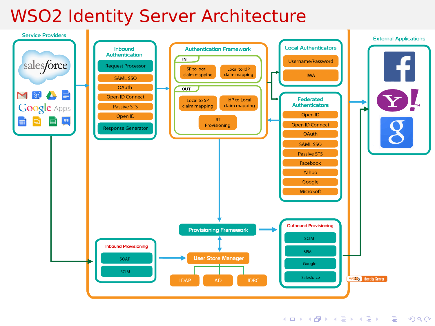

## WSO2 Identity Server Architecture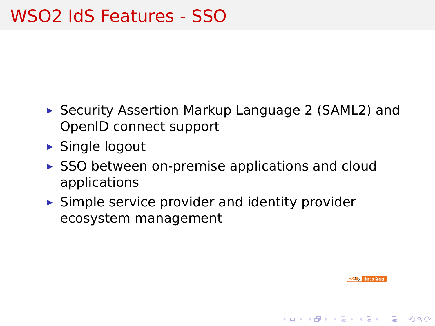## WSO2 IdS Features - SSO

- ▶ Security Assertion Markup Language 2 (SAML2) and OpenID connect support
- ▶ Single logout
- $\triangleright$  SSO between on-premise applications and cloud applications
- $\blacktriangleright$  Simple service provider and identity provider ecosystem management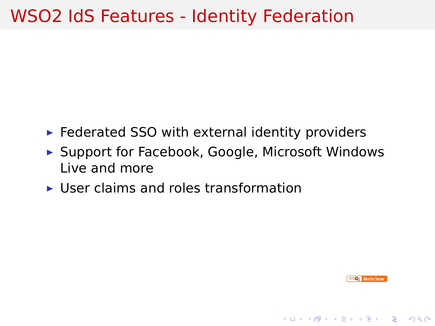## WSO2 IdS Features - Identity Federation

- $\blacktriangleright$  Federated SSO with external identity providers
- ▶ Support for Facebook, Google, Microsoft Windows Live and more
- ▶ User claims and roles transformation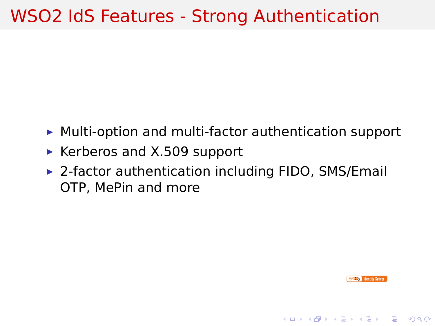## WSO2 IdS Features - Strong Authentication

- ▶ Multi-option and multi-factor authentication support
- ▶ Kerberos and X.509 support
- ▶ 2-factor authentication including FIDO, SMS/Email OTP, MePin and more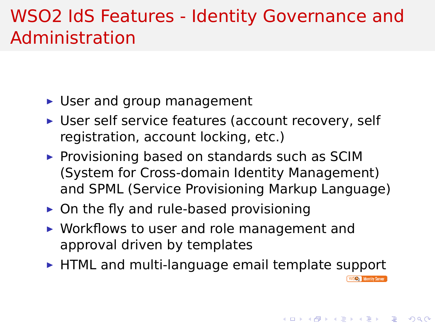#### WSO2 IdS Features - Identity Governance and Administration

- ▶ User and group management
- ▶ User self service features (account recovery, self registration, account locking, etc.)
- ▶ Provisioning based on standards such as SCIM (System for Cross-domain Identity Management) and SPML (Service Provisioning Markup Language)
- $\triangleright$  On the fly and rule-based provisioning
- ▶ Workflows to user and role management and approval driven by templates
- ▶ HTML and multi-language email template support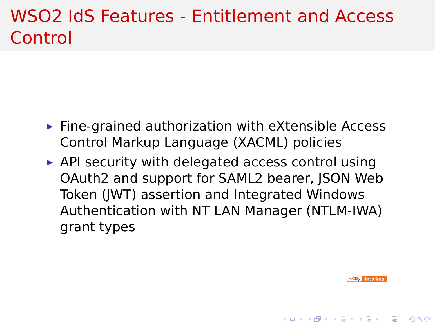#### WSO2 IdS Features - Entitlement and Access **Control**

- $\blacktriangleright$  Fine-grained authorization with eXtensible Access Control Markup Language (XACML) policies
- $\triangleright$  API security with delegated access control using OAuth2 and support for SAML2 bearer, JSON Web Token (JWT) assertion and Integrated Windows Authentication with NT LAN Manager (NTLM-IWA) grant types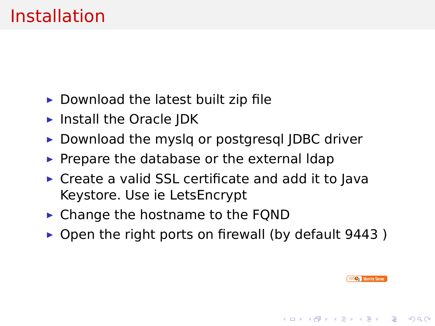### Installation

- $\triangleright$  Download the latest built zip file
- ▶ Install the Oracle JDK
- ▶ Download the myslq or postgresql JDBC driver
- ▶ Prepare the database or the external Idap
- ▶ Create a valid SSL certificate and add it to Java Keystore. Use ie LetsEncrypt
- ▶ Change the hostname to the FQND
- ▶ Open the right ports on firewall (by default 9443)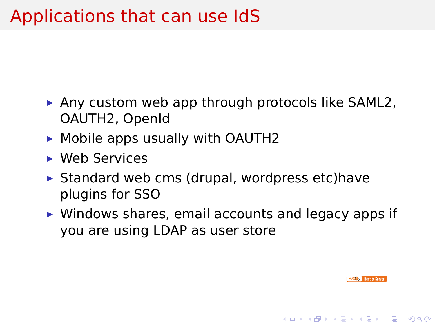## Applications that can use IdS

- ▶ Any custom web app through protocols like SAML2, OAUTH2, OpenId
- ▶ Mobile apps usually with OAUTH2
- ▶ Web Services
- $\blacktriangleright$  Standard web cms (drupal, wordpress etc)have plugins for SSO
- ▶ Windows shares, email accounts and legacy apps if you are using LDAP as user store